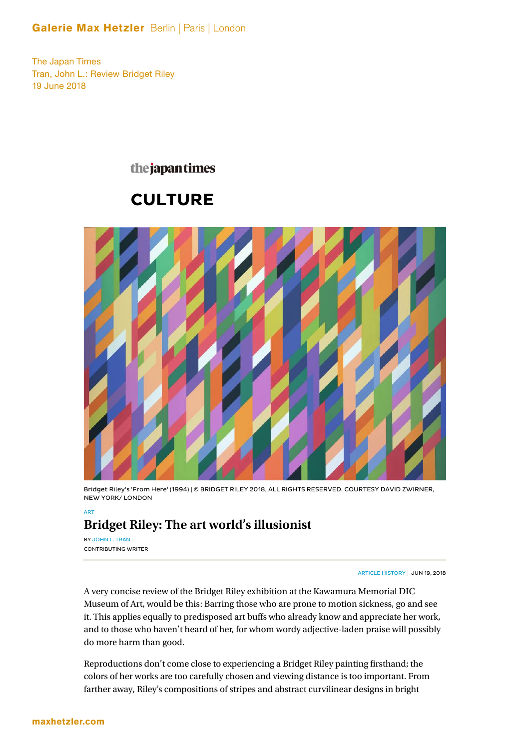### Galerie Max Hetzler Berlin | Paris | London

The Japan Times Tran, John L.: Review Bridget Riley 19 June 2018

### the japantimes

# **CULTURE**



Bridget Riley's 'From Here' (1994) | © BRIDGET RILEY 2018, ALL RIGHTS RESERVED. COURTESY DAVID ZWIRNER, NEW YORK/ LONDON

## **Bridget Riley: The art world's illusionist**

BY JOHN L. TRAN CONTRIBUTING WRITER

ART

ARTICLE HISTORY JUN 19, 2018

A very concise review of the Bridget Riley exhibition at the Kawamura Memorial DIC Museum of Art, would be this: Barring those who are prone to motion sickness, go and see it. This applies equally to predisposed art buffs who already know and appreciate her work, and to those who haven't heard of her, for whom wordy adjective-laden praise will possibly do more harm than good.

Reproductions don't come close to experiencing a Bridget Riley painting firsthand; the colors of her works are too carefully chosen and viewing distance is too important. From farther away, Riley's compositions of stripes and abstract curvilinear designs in bright